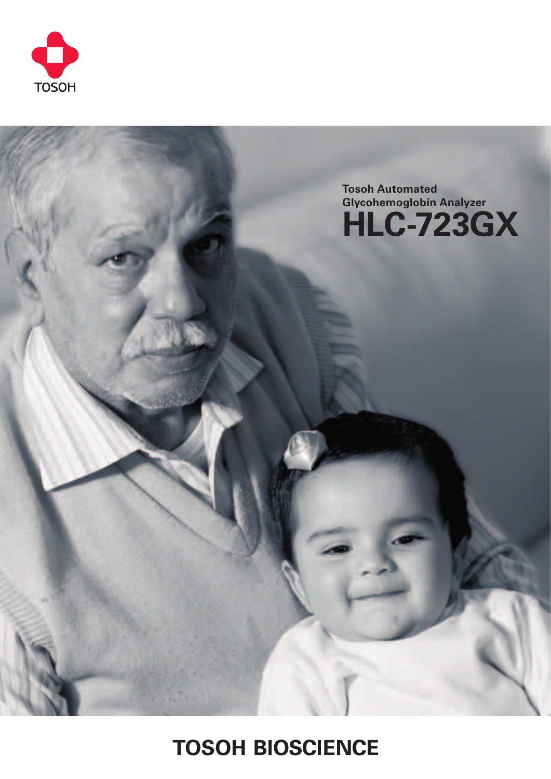



# **TOSOH BIOSCIENCE**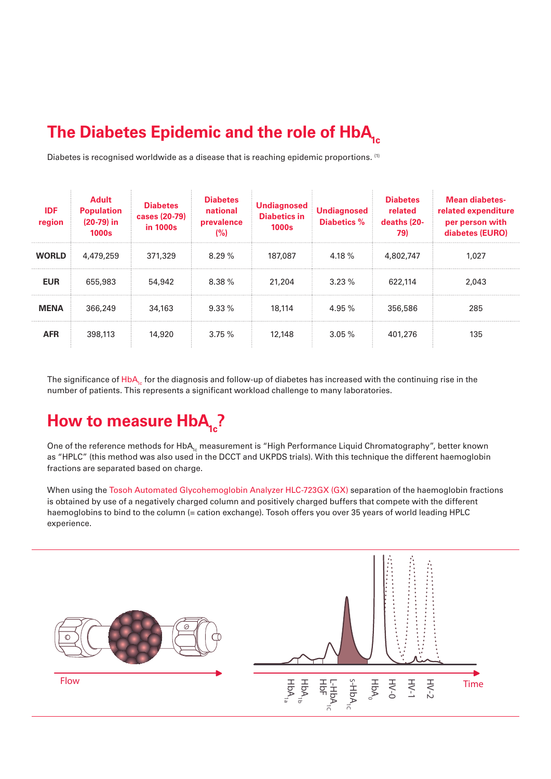## The Diabetes Epidemic and the role of HbA<sub>1c</sub>

Diabetes is recognised worldwide as a disease that is reaching epidemic proportions. <sup>(1)</sup>

| <b>IDF</b><br>region | <b>Adult</b><br><b>Population</b><br>$(20-79)$ in<br>1000s | <b>Diabetes</b><br>cases (20-79)<br>in 1000s | <b>Diabetes</b><br>national<br>prevalence<br>(%) | <b>Undiagnosed</b><br><b>Diabetics in</b><br><b>1000s</b> | <b>Undiagnosed</b><br>Diabetics % | <b>Diabetes</b><br>related<br>deaths (20-<br>79) | Mean diabetes-<br>related expenditure<br>per person with<br>diabetes (EURO) |
|----------------------|------------------------------------------------------------|----------------------------------------------|--------------------------------------------------|-----------------------------------------------------------|-----------------------------------|--------------------------------------------------|-----------------------------------------------------------------------------|
| <b>WORLD</b>         | 4,479,259                                                  | 371,329                                      | $8.29\%$                                         | 187,087                                                   | 4.18 $%$                          | 4,802,747                                        | 1.027                                                                       |
| <b>EUR</b>           | 655,983                                                    | 54,942                                       | 8.38%                                            | 21,204                                                    | $3.23\%$                          | 622.114                                          | 2.043                                                                       |
| <b>MENA</b>          | 366,249                                                    | 34,163                                       | $9.33\%$                                         | 18,114                                                    | 4.95 %                            | 356,586                                          | 285                                                                         |
| <b>AFR</b>           | 398,113                                                    | 14,920                                       | 3.75%                                            | 12,148                                                    | $3.05\%$                          | 401.276                                          | 135                                                                         |

The significance of  $HbA<sub>1c</sub>$  for the diagnosis and follow-up of diabetes has increased with the continuing rise in the number of patients. This represents a significant workload challenge to many laboratories.

## **How to measure HbA<sub>1c</sub>?**

One of the reference methods for HbA<sub>1c</sub> measurement is "High Performance Liquid Chromatography", better known as "HPLC" (this method was also used in the DCCT and UKPDS trials). With this technique the different haemoglobin fractions are separated based on charge.

When using the Tosoh Automated Glycohemoglobin Analyzer HLC-723GX (GX) separation of the haemoglobin fractions is obtained by use of a negatively charged column and positively charged buffers that compete with the different haemoglobins to bind to the column (= cation exchange). Tosoh offers you over 35 years of world leading HPLC experience.

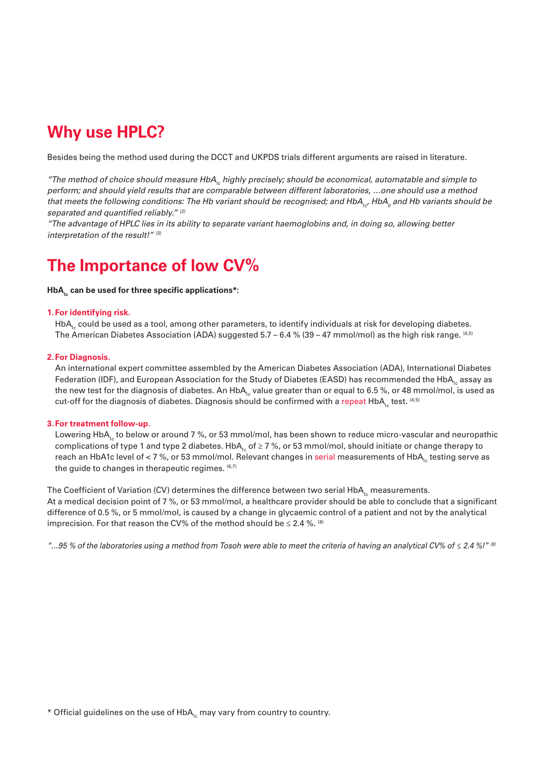### **Why use HPLC?**

Besides being the method used during the DCCT and UKPDS trials different arguments are raised in literature.

*"The method of choice should measure HbA1c highly precisely; should be economical, automatable and simple to perform; and should yield results that are comparable between different laboratories, …one should use a method*  that meets the following conditions: The Hb variant should be recognised; and HbA<sub>1c</sub>, HbA<sub>0</sub> and Hb variants should be *separated and quantified reliably." (2)*

*"The advantage of HPLC lies in its ability to separate variant haemoglobins and, in doing so, allowing better interpretation of the result!" (3)*

### **The Importance of low CV%**

#### HbA<sub>2</sub> can be used for three specific applications\*:

### **1. For identifying risk.**

HbA<sub>1</sub> could be used as a tool, among other parameters, to identify individuals at risk for developing diabetes. The American Diabetes Association (ADA) suggested  $5.7 - 6.4 % (39 - 47 mmol/mol)$  as the high risk range. <sup>(4,5)</sup>

#### **2.For Diagnosis.**

An international expert committee assembled by the American Diabetes Association (ADA), International Diabetes Federation (IDF), and European Association for the Study of Diabetes (EASD) has recommended the HbA<sub>1c</sub> assay as the new test for the diagnosis of diabetes. An HbA<sub>1c</sub> value greater than or equal to 6.5 %, or 48 mmol/mol, is used as cut-off for the diagnosis of diabetes. Diagnosis should be confirmed with a repeat  $HbA_1$  test.  $(4,5)$ 

#### **3. For treatment follow-up.**

Lowering HbA<sub>1c</sub> to below or around 7 %, or 53 mmol/mol, has been shown to reduce micro-vascular and neuropathic complications of type 1 and type 2 diabetes. HbA<sub>1c</sub> of ≥ 7 %, or 53 mmol/mol, should initiate or change therapy to reach an HbA1c level of < 7 %, or 53 mmol/mol. Relevant changes in serial measurements of HbA<sub>1</sub> testing serve as the guide to changes in therapeutic regimes.  $(6,7)$ 

The Coefficient of Variation (CV) determines the difference between two serial HbA<sub>1c</sub> measurements. At a medical decision point of 7 %, or 53 mmol/mol, a healthcare provider should be able to conclude that a significant difference of 0.5 %, or 5 mmol/mol, is caused by a change in glycaemic control of a patient and not by the analytical imprecision. For that reason the CV% of the method should be  $\leq 2.4$  %. <sup>(8)</sup>

*"…95 % of the laboratories using a method from Tosoh were able to meet the criteria of having an analytical CV% of ≤ 2.4 %!" (8)*

\* Official guidelines on the use of HbA<sub>1c</sub> may vary from country to country.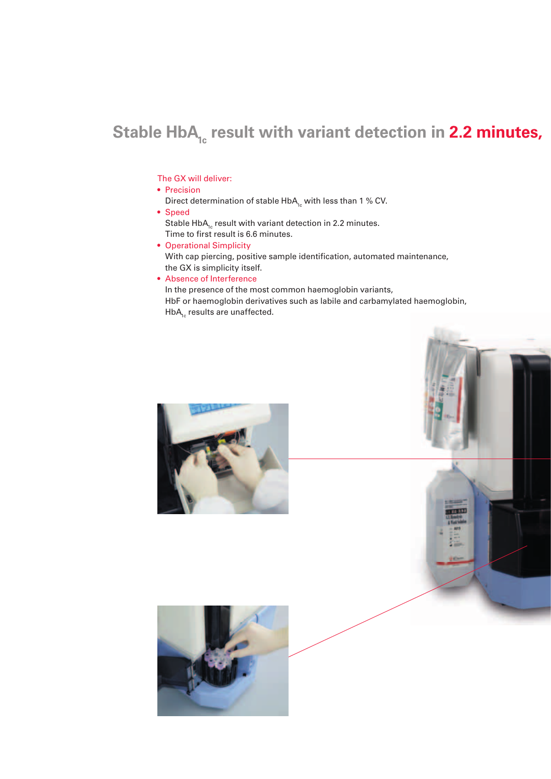# Stable HbA<sub>1c</sub> result with variant detection in 2.2 minutes,

### The GX will deliver:

- Precision
- Direct determination of stable  $HbA_1$  with less than 1 % CV.
- Speed Stable  $HbA_{1c}$  result with variant detection in 2.2 minutes. Time to first result is 6.6 minutes.
- Operational Simplicity With cap piercing, positive sample identification, automated maintenance, the GX is simplicity itself.
- Absence of Interference

In the presence of the most common haemoglobin variants, HbF or haemoglobin derivatives such as labile and carbamylated haemoglobin,  $HbA_{1c}$  results are unaffected.





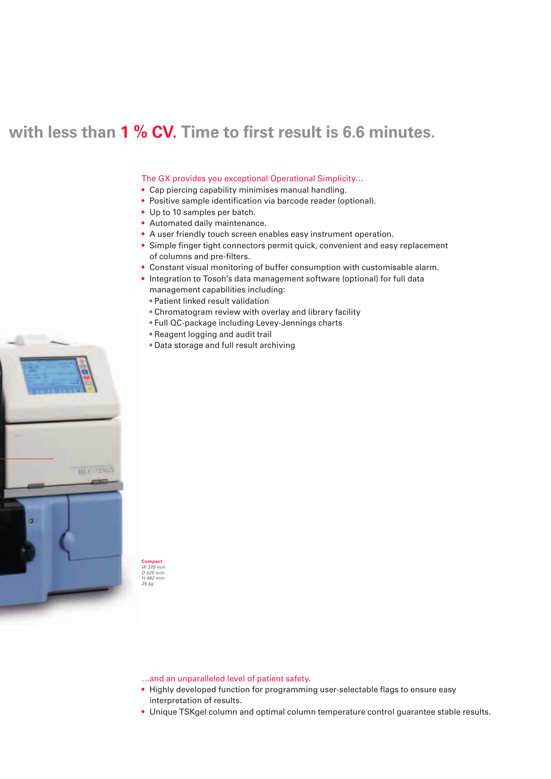### with less than 1 % CV. Time to first result is 6.6 minutes.

#### The GX provides you exceptional Operational Simplicity…

- Cap piercing capability minimises manual handling.
- Positive sample identification via barcode reader (optional).
- Up to 10 samples per batch.
- Automated daily maintenance.
- A user friendly touch screen enables easy instrument operation.
- Simple finger tight connectors permit quick, convenient and easy replacement of columns and pre-filters.
- Constant visual monitoring of buffer consumption with customisable alarm.
- Integration to Tosoh's data management software (optional) for full data management capabilities including:
	- **•** Patient linked result validation
	- **•** Chromatogram review with overlay and library facility
	- **•** Full QC-package including Levey-Jennings charts
	- **•** Reagent logging and audit trail
	- **•** Data storage and full result archiving



…and an unparalleled level of patient safety.

**Compact** *W 370 mm D 525 mm H 482 mm 25 kg*

- Highly developed function for programming user-selectable flags to ensure easy interpretation of results.
- Unique TSKgel column and optimal column temperature control guarantee stable results.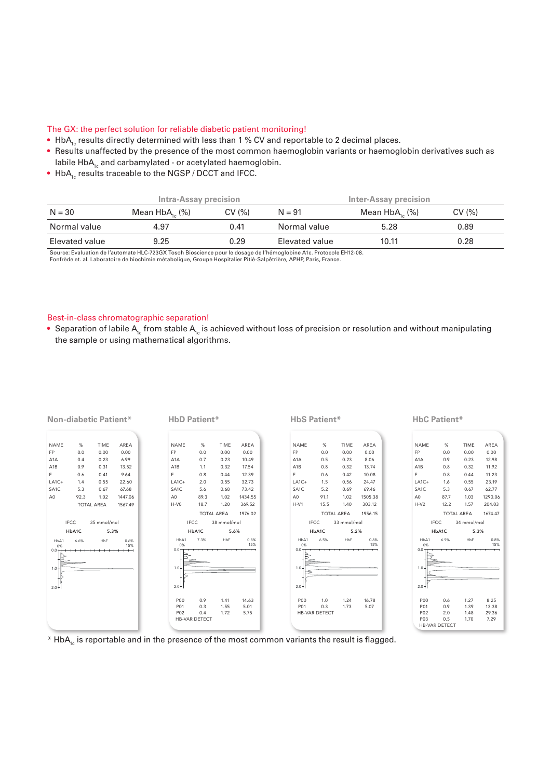#### The GX: the perfect solution for reliable diabetic patient monitoring!

• HbA<sub>1c</sub> results directly determined with less than 1 % CV and reportable to 2 decimal places.

- Results unaffected by the presence of the most common haemoglobin variants or haemoglobin derivatives such as labile  $HbA_{1c}$  and carbamylated - or acetylated haemoglobin.
- $\bullet$  HbA<sub>1c</sub> results traceable to the NGSP / DCCT and IFCC.

|                | <b>Intra-Assay precision</b> |       | Inter-Assay precision |                     |       |  |
|----------------|------------------------------|-------|-----------------------|---------------------|-------|--|
| $N = 30$       | Mean $HbA_{16}$ (%)          | CV(%) | $N = 91$              | Mean $HbA_{16}$ (%) | CV(%) |  |
| Normal value   | 4.97                         | 0.41  | Normal value          | 5.28                | 0.89  |  |
| Elevated value | 9.25                         | 0.29  | Elevated value        | 10.11               | 0.28  |  |

Source: Evaluation de l'automate HLC-723GX Tosoh Bioscience pour le dosage de l'hémoglobine A1c. Protocole EH12-08.<br>Fonfrède et. al. Laboratoire de biochimie métabolique, Groupe Hospitalier Pitié-Salpêtrière, APHP, Paris,

#### Best-in-class chromatographic separation!

• Separation of labile A<sub>1c</sub> from stable A<sub>1c</sub> is achieved without loss of precision or resolution and without manipulating the sample or using mathematical algorithms.



\* HbA<sub>1c</sub> is reportable and in the presence of the most common variants the result is flagged.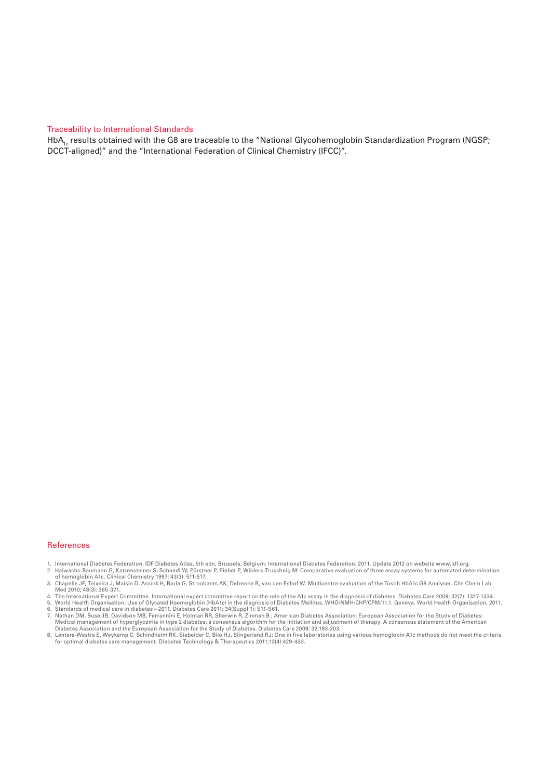#### Traceability to International Standards

HbA<sub>1c</sub> results obtained with the G8 are traceable to the "National Glycohemoglobin Standardization Program (NGSP; DCCT-aligned)" and the "International Federation of Clinical Chemistry (IFCC)".

#### References

- 
- 1. International Diabetes Federation. IDF Diabetes Atlas, 5th edn, Brussels, Belgium: International Diabetes Federation, 2011. Update 2012 on website www.idf.org.<br>2. Halwachs-Baumann G, Katzensteiner S, Schnedl W, Pürstn
- 3. Chapelle JP, Teixeira J, Maisin D, Assink H, Barla G, Stroobants AK, Delzenne B, van den Eshof W: Multicentre evaluation of the Tosoh HbA1c G8 Analyser. Clin Chem Lab<br>Med 2010; 48(3): 365-371.
- 
- 4. The International Expert Committee. International expert committee report on the role of the A1c assay in the diagnosis of diabetes. Diabetes Care 2009; 32(7): 1327-1334.<br>5. World Health Organisation. Use of Glycated H
- 
- 6. Standards of medical care in diabetes 2011. Diabetes Care 2011; 34(Suppl 1): S11-S61.<br>7. Nathan DM, Buse JB, Davidson MB, Ferrannini E, Holman RR, Sherwin R, Zinman B ; American Diabetes Association; European Associ Medical management of hyperglycemia in type 2 diabetes: a consensus algorithm for the initiation and adjustment of therapy. A consensus statement of the American<br>Diabetes Association and the European Association for the St
- 8. Lenters-Westra E, Weykamp C, Schindhelm RK, Siebelder C, Bilo HJ, Slingerland RJ: One in five laboratories using various hemoglobin A1c methods do not meet the criteria<br>for optimal diabetes care management. Diabetes Tec